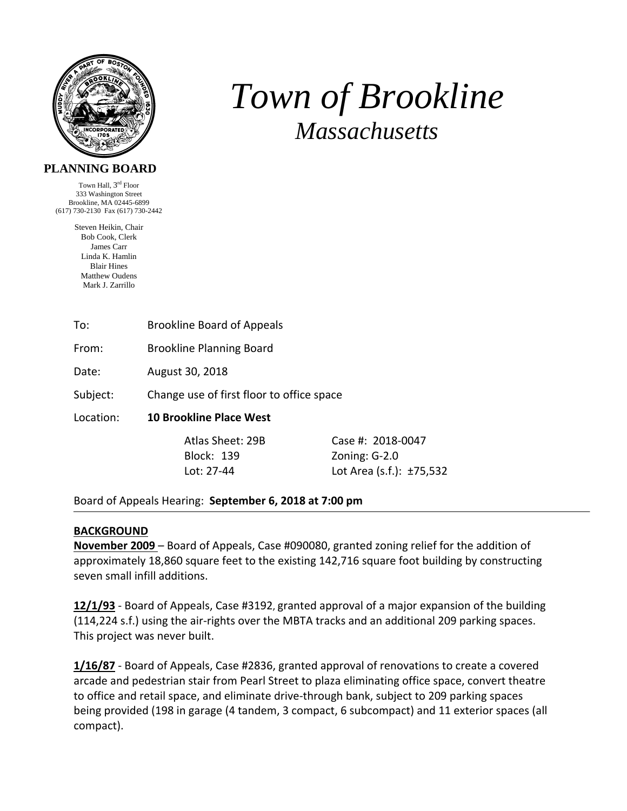

# *Town of Brookline Massachusetts*

# **PLANNING BOARD**

Town Hall, 3rd Floor 333 Washington Street Brookline, MA 02445-6899 (617) 730-2130 Fax (617) 730-2442

> Steven Heikin, Chair Bob Cook, Clerk James Carr Linda K. Hamlin Blair Hines Matthew Oudens Mark J. Zarrillo

To: Brookline Board of Appeals

From: Brookline Planning Board

Date: August 30, 2018

Subject: Change use of first floor to office space

Location: **10 Brookline Place West** 

Block: 139 Zoning: G-2.0

 Atlas Sheet: 29B Case #: 2018‐0047 Lot: 27-44 Lot Area (s.f.): ±75,532

Board of Appeals Hearing: **September 6, 2018 at 7:00 pm**

### **BACKGROUND**

**November 2009** – Board of Appeals, Case #090080, granted zoning relief for the addition of approximately 18,860 square feet to the existing 142,716 square foot building by constructing seven small infill additions.

**12/1/93** ‐ Board of Appeals, Case #3192, granted approval of a major expansion of the building (114,224 s.f.) using the air‐rights over the MBTA tracks and an additional 209 parking spaces. This project was never built.

**1/16/87** ‐ Board of Appeals, Case #2836, granted approval of renovations to create a covered arcade and pedestrian stair from Pearl Street to plaza eliminating office space, convert theatre to office and retail space, and eliminate drive‐through bank, subject to 209 parking spaces being provided (198 in garage (4 tandem, 3 compact, 6 subcompact) and 11 exterior spaces (all compact).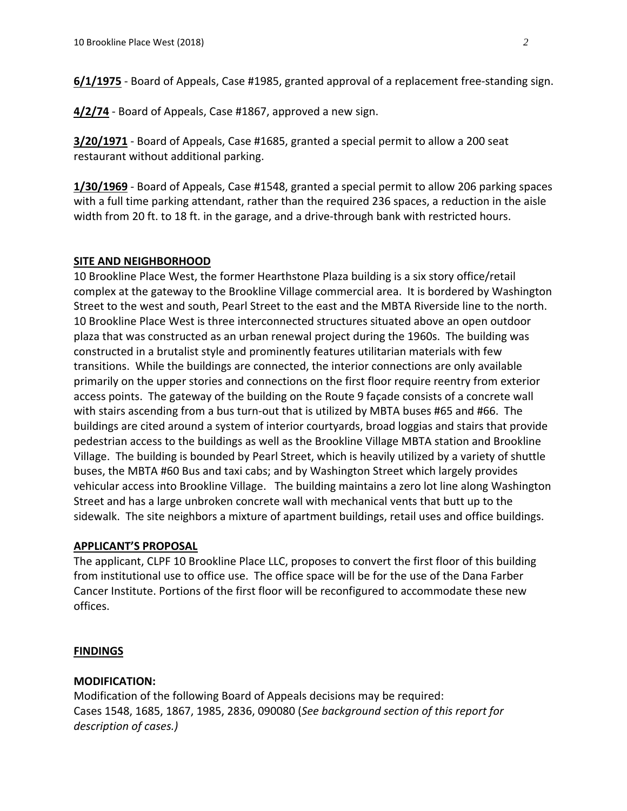**6/1/1975** - Board of Appeals, Case #1985, granted approval of a replacement free-standing sign.

**4/2/74** ‐ Board of Appeals, Case #1867, approved a new sign.

**3/20/1971** ‐ Board of Appeals, Case #1685, granted a special permit to allow a 200 seat restaurant without additional parking.

**1/30/1969** ‐ Board of Appeals, Case #1548, granted a special permit to allow 206 parking spaces with a full time parking attendant, rather than the required 236 spaces, a reduction in the aisle width from 20 ft. to 18 ft. in the garage, and a drive-through bank with restricted hours.

## **SITE AND NEIGHBORHOOD**

10 Brookline Place West, the former Hearthstone Plaza building is a six story office/retail complex at the gateway to the Brookline Village commercial area. It is bordered by Washington Street to the west and south, Pearl Street to the east and the MBTA Riverside line to the north. 10 Brookline Place West is three interconnected structures situated above an open outdoor plaza that was constructed as an urban renewal project during the 1960s. The building was constructed in a brutalist style and prominently features utilitarian materials with few transitions. While the buildings are connected, the interior connections are only available primarily on the upper stories and connections on the first floor require reentry from exterior access points. The gateway of the building on the Route 9 façade consists of a concrete wall with stairs ascending from a bus turn-out that is utilized by MBTA buses #65 and #66. The buildings are cited around a system of interior courtyards, broad loggias and stairs that provide pedestrian access to the buildings as well as the Brookline Village MBTA station and Brookline Village. The building is bounded by Pearl Street, which is heavily utilized by a variety of shuttle buses, the MBTA #60 Bus and taxi cabs; and by Washington Street which largely provides vehicular access into Brookline Village. The building maintains a zero lot line along Washington Street and has a large unbroken concrete wall with mechanical vents that butt up to the sidewalk. The site neighbors a mixture of apartment buildings, retail uses and office buildings.

### **APPLICANT'S PROPOSAL**

The applicant, CLPF 10 Brookline Place LLC, proposes to convert the first floor of this building from institutional use to office use. The office space will be for the use of the Dana Farber Cancer Institute. Portions of the first floor will be reconfigured to accommodate these new offices.

### **FINDINGS**

### **MODIFICATION:**

Modification of the following Board of Appeals decisions may be required: Cases 1548, 1685, 1867, 1985, 2836, 090080 (*See background section of this report for description of cases.)*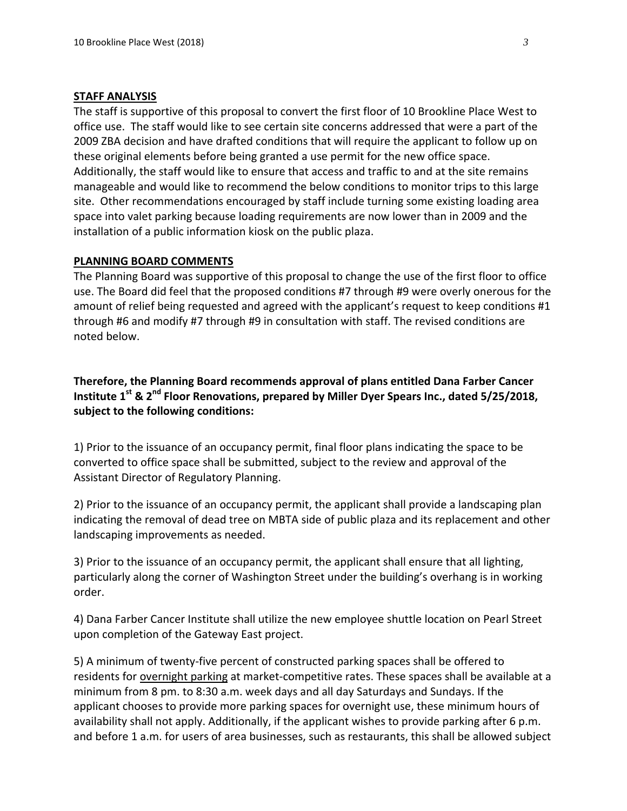#### **STAFF ANALYSIS**

The staff is supportive of this proposal to convert the first floor of 10 Brookline Place West to office use. The staff would like to see certain site concerns addressed that were a part of the 2009 ZBA decision and have drafted conditions that will require the applicant to follow up on these original elements before being granted a use permit for the new office space. Additionally, the staff would like to ensure that access and traffic to and at the site remains manageable and would like to recommend the below conditions to monitor trips to this large site. Other recommendations encouraged by staff include turning some existing loading area space into valet parking because loading requirements are now lower than in 2009 and the installation of a public information kiosk on the public plaza.

#### **PLANNING BOARD COMMENTS**

The Planning Board was supportive of this proposal to change the use of the first floor to office use. The Board did feel that the proposed conditions #7 through #9 were overly onerous for the amount of relief being requested and agreed with the applicant's request to keep conditions #1 through #6 and modify #7 through #9 in consultation with staff. The revised conditions are noted below.

**Therefore, the Planning Board recommends approval of plans entitled Dana Farber Cancer Institute 1st & 2nd Floor Renovations, prepared by Miller Dyer Spears Inc., dated 5/25/2018, subject to the following conditions:** 

1) Prior to the issuance of an occupancy permit, final floor plans indicating the space to be converted to office space shall be submitted, subject to the review and approval of the Assistant Director of Regulatory Planning.

2) Prior to the issuance of an occupancy permit, the applicant shall provide a landscaping plan indicating the removal of dead tree on MBTA side of public plaza and its replacement and other landscaping improvements as needed.

3) Prior to the issuance of an occupancy permit, the applicant shall ensure that all lighting, particularly along the corner of Washington Street under the building's overhang is in working order.

4) Dana Farber Cancer Institute shall utilize the new employee shuttle location on Pearl Street upon completion of the Gateway East project.

5) A minimum of twenty‐five percent of constructed parking spaces shall be offered to residents for overnight parking at market‐competitive rates. These spaces shall be available at a minimum from 8 pm. to 8:30 a.m. week days and all day Saturdays and Sundays. If the applicant chooses to provide more parking spaces for overnight use, these minimum hours of availability shall not apply. Additionally, if the applicant wishes to provide parking after 6 p.m. and before 1 a.m. for users of area businesses, such as restaurants, this shall be allowed subject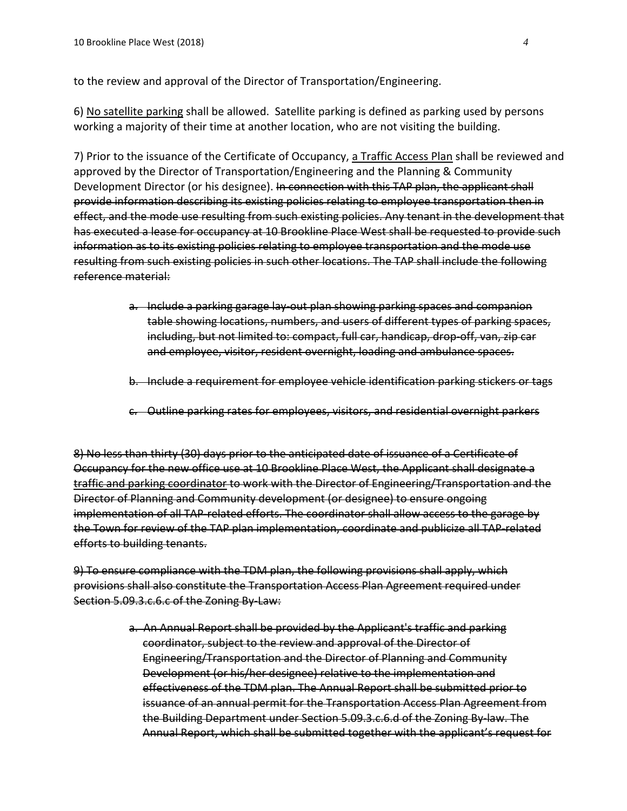to the review and approval of the Director of Transportation/Engineering.

6) No satellite parking shall be allowed. Satellite parking is defined as parking used by persons working a majority of their time at another location, who are not visiting the building.

7) Prior to the issuance of the Certificate of Occupancy, a Traffic Access Plan shall be reviewed and approved by the Director of Transportation/Engineering and the Planning & Community Development Director (or his designee). In connection with this TAP plan, the applicant shall provide information describing its existing policies relating to employee transportation then in effect, and the mode use resulting from such existing policies. Any tenant in the development that has executed a lease for occupancy at 10 Brookline Place West shall be requested to provide such information as to its existing policies relating to employee transportation and the mode use resulting from such existing policies in such other locations. The TAP shall include the following reference material:

- a. Include a parking garage lay‐out plan showing parking spaces and companion table showing locations, numbers, and users of different types of parking spaces, including, but not limited to: compact, full car, handicap, drop‐off, van, zip car and employee, visitor, resident overnight, loading and ambulance spaces.
- b. Include a requirement for employee vehicle identification parking stickers or tags
- c. Outline parking rates for employees, visitors, and residential overnight parkers

8) No less than thirty (30) days prior to the anticipated date of issuance of a Certificate of Occupancy for the new office use at 10 Brookline Place West, the Applicant shall designate a traffic and parking coordinator to work with the Director of Engineering/Transportation and the Director of Planning and Community development (or designee) to ensure ongoing implementation of all TAP related efforts. The coordinator shall allow access to the garage by the Town for review of the TAP plan implementation, coordinate and publicize all TAP related efforts to building tenants.

9) To ensure compliance with the TDM plan, the following provisions shall apply, which provisions shall also constitute the Transportation Access Plan Agreement required under Section 5.09.3.c.6.c of the Zoning By Law:

> a. An Annual Report shall be provided by the Applicant's traffic and parking coordinator, subject to the review and approval of the Director of Engineering/Transportation and the Director of Planning and Community Development (or his/her designee) relative to the implementation and effectiveness of the TDM plan. The Annual Report shall be submitted prior to issuance of an annual permit for the Transportation Access Plan Agreement from the Building Department under Section 5.09.3.c.6.d of the Zoning By‐law. The Annual Report, which shall be submitted together with the applicant's request for